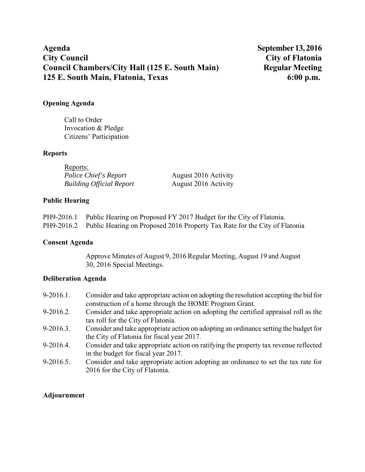# Agenda<br>
City Council<br>
City Council<br>
City of Flatonia **Council Chambers/City Hall (125 E. South Main) 125 E. South Main, Flatonia, Texas 6:00 p.m.**

# **Opening Agenda**

Call to Order Invocation & Pledge Citizens' Participation

## **Reports**

| Reports:                        |                      |
|---------------------------------|----------------------|
| Police Chief's Report           | August 2016 Activity |
| <b>Building Official Report</b> | August 2016 Activity |

# **Public Hearing**

| PH9-2016.1 Public Hearing on Proposed FY 2017 Budget for the City of Flatonia.        |
|---------------------------------------------------------------------------------------|
| PH9-2016.2 Public Hearing on Proposed 2016 Property Tax Rate for the City of Flatonia |

# **Consent Agenda**

Approve Minutes of August 9, 2016 Regular Meeting, August 19 and August 30, 2016 Special Meetings.

## **Deliberation Agenda**

| $9-2016.1.$ | Consider and take appropriate action on adopting the resolution accepting the bid for |
|-------------|---------------------------------------------------------------------------------------|
|             | construction of a home through the HOME Program Grant.                                |
| $9-2016.2.$ | Consider and take appropriate action on adopting the certified appraisal roll as the  |
|             | tax roll for the City of Flatonia.                                                    |
| $9-2016.3.$ | Consider and take appropriate action on adopting an ordinance setting the budget for  |
|             | the City of Flatonia for fiscal year 2017.                                            |
| 9-2016.4.   | Consider and take appropriate action on ratifying the property tax revenue reflected  |
|             | in the budget for fiscal year 2017.                                                   |
| $9-2016.5.$ | Consider and take appropriate action adopting an ordinance to set the tax rate for    |
|             | 2016 for the City of Flatonia.                                                        |

# **Adjournment**